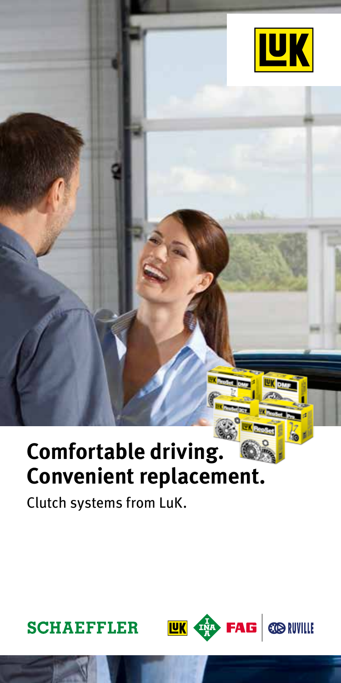

# **Comfortable driving. Convenient replacement.**

**UK 42 FAG @NVILLE** 

Clutch systems from LuK.

### **SCHAEFFLER**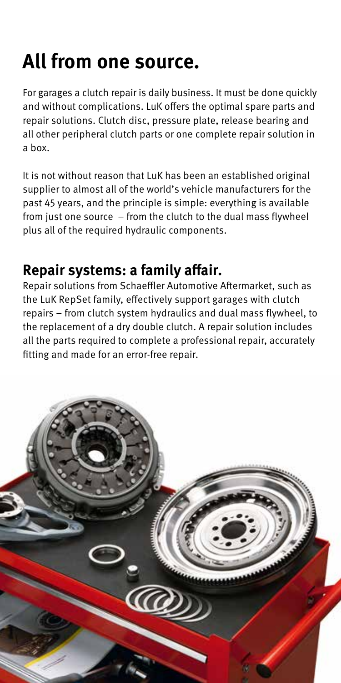# **All from one source.**

For garages a clutch repair is daily business. It must be done quickly and without complications. LuK offers the optimal spare parts and repair solutions. Clutch disc, pressure plate, release bearing and all other peripheral clutch parts or one complete repair solution in a box.

It is not without reason that LuK has been an established original supplier to almost all of the world's vehicle manufacturers for the past 45 years, and the principle is simple: everything is available from just one source – from the clutch to the dual mass flywheel plus all of the required hydraulic components.

## **Repair systems: a family affair.**

Repair solutions from Schaeffler Automotive Aftermarket, such as the LuK RepSet family, effectively support garages with clutch repairs – from clutch system hydraulics and dual mass flywheel, to the replacement of a dry double clutch. A repair solution includes all the parts required to complete a professional repair, accurately fitting and made for an error-free repair.

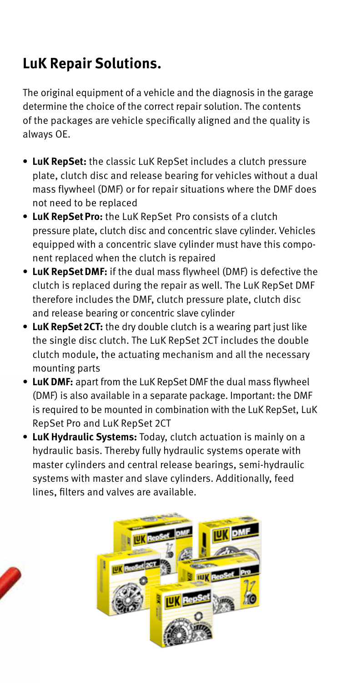## **LuK Repair Solutions.**

The original equipment of a vehicle and the diagnosis in the garage determine the choice of the correct repair solution. The contents of the packages are vehicle specifically aligned and the quality is always OE.

- **• LuK RepSet:** the classic LuK RepSet includes a clutch pressure plate, clutch disc and release bearing for vehicles without a dual mass flywheel (DMF) or for repair situations where the DMF does not need to be replaced
- **• LuK RepSetPro:** the LuK RepSet Pro consists of a clutch pressure plate, clutch disc and concentric slave cylinder. Vehicles equipped with a concentric slave cylinder must have this component replaced when the clutch is repaired
- **• LuK RepSetDMF:** if the dual mass flywheel (DMF) is defective the clutch is replaced during the repair as well. The LuK RepSet DMF therefore includes the DMF, clutch pressure plate, clutch disc and release bearing or concentric slave cylinder
- **• LuK RepSet2CT:** the dry double clutch is a wearing part just like the single disc clutch. The LuK RepSet 2CT includes the double clutch module, the actuating mechanism and all the necessary mounting parts
- **• LuK DMF:** apart from the LuK RepSet DMF the dual mass flywheel (DMF) is also available in a separate package. Important: the DMF is required to be mounted in combination with the LuK RepSet, LuK RepSet Pro and LuK RepSet 2CT
- **• LuK Hydraulic Systems:** Today, clutch actuation is mainly on a hydraulic basis. Thereby fully hydraulic systems operate with master cylinders and central release bearings, semi-hydraulic systems with master and slave cylinders. Additionally, feed lines, filters and valves are available.



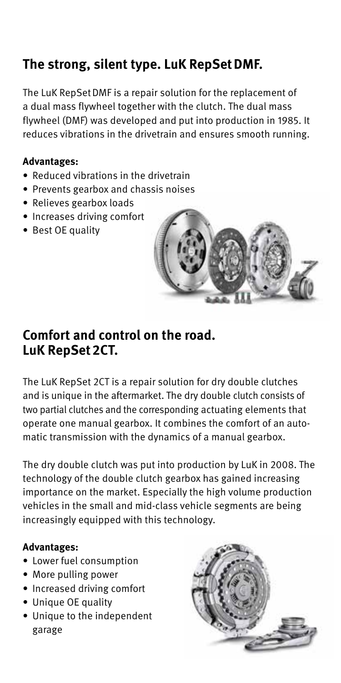## **The strong, silent type. LuK RepSetDMF.**

The LuK RepSetDMF is a repair solution for the replacement of a dual mass flywheel together with the clutch. The dual mass flywheel (DMF) was developed and put into production in 1985. It reduces vibrations in the drivetrain and ensures smooth running.

#### **Advantages:**

- Reduced vibrations in the drivetrain
- Prevents gearbox and chassis noises
- Relieves gearbox loads
- Increases driving comfort
- Best OE quality



#### **Comfort and control on the road. LuK RepSet2CT.**

The LuK RepSet 2CT is a repair solution for dry double clutches and is unique in the aftermarket. The dry double clutch consists of two partial clutches and the corresponding actuating elements that operate one manual gearbox. It combines the comfort of an automatic transmission with the dynamics of a manual gearbox.

The dry double clutch was put into production by LuK in 2008. The technology of the double clutch gearbox has gained increasing importance on the market. Especially the high volume production vehicles in the small and mid-class vehicle segments are being increasingly equipped with this technology.

#### **Advantages:**

- Lower fuel consumption
- More pulling power
- Increased driving comfort
- Unique OE quality
- Unique to the independent garage

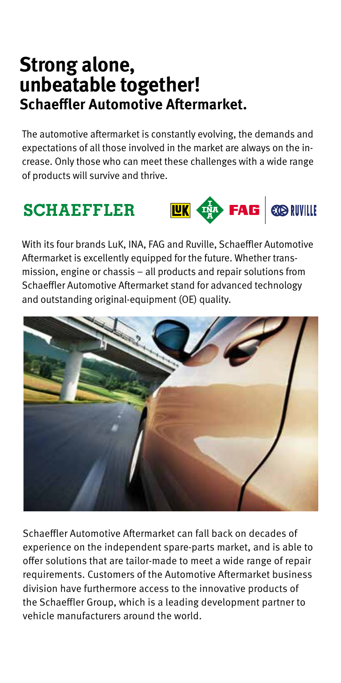## **Strong alone, unbeatable together! Schaeffler Automotive Aftermarket.**

The automotive aftermarket is constantly evolving, the demands and expectations of all those involved in the market are always on the increase. Only those who can meet these challenges with a wide range of products will survive and thrive.

## **SCHAEFFLER**



With its four brands LuK, INA, FAG and Ruville, Schaeffler Automotive Aftermarket is excellently equipped for the future. Whether transmission, engine or chassis – all products and repair solutions from Schaeffler Automotive Aftermarket stand for advanced technology and outstanding original-equipment (OE) quality.



Schaeffler Automotive Aftermarket can fall back on decades of experience on the independent spare-parts market, and is able to offer solutions that are tailor-made to meet a wide range of repair requirements. Customers of the Automotive Aftermarket business division have furthermore access to the innovative products of the Schaeffler Group, which is a leading development partner to vehicle manufacturers around the world.